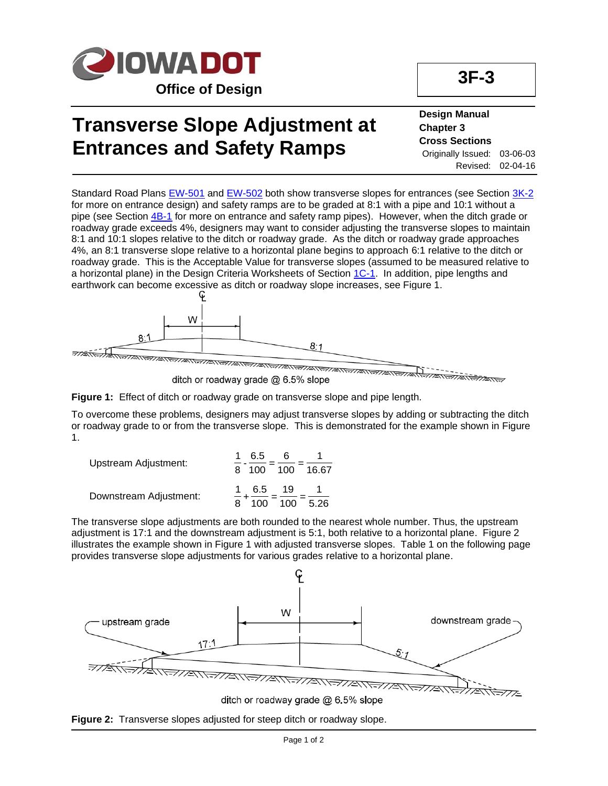

## **Transverse Slope Adjustment at Entrances and Safety Ramps**

### **Design Manual Chapter 3 Cross Sections** Originally Issued: 03-06-03 Revised: 02-04-16

Standard Road Plans [EW-501](../SRP/IndividualStandards/ew501.pdf) and [EW-502](../SRP/IndividualStandards/ew502.pdf) both show transverse slopes for entrances (see Section [3K-2](03k-02.pdf) for more on entrance design) and safety ramps are to be graded at 8:1 with a pipe and 10:1 without a pipe (see Section  $4B-1$  for more on entrance and safety ramp pipes). However, when the ditch grade or roadway grade exceeds 4%, designers may want to consider adjusting the transverse slopes to maintain 8:1 and 10:1 slopes relative to the ditch or roadway grade. As the ditch or roadway grade approaches 4%, an 8:1 transverse slope relative to a horizontal plane begins to approach 6:1 relative to the ditch or roadway grade. This is the Acceptable Value for transverse slopes (assumed to be measured relative to a horizontal plane) in the Design Criteria Worksheets of Section [1C-1.](01c-01.pdf) In addition, pipe lengths and earthwork can become excessive as ditch or roadway slope increases, see Figure 1.



**Figure 1:** Effect of ditch or roadway grade on transverse slope and pipe length.

To overcome these problems, designers may adjust transverse slopes by adding or subtracting the ditch or roadway grade to or from the transverse slope. This is demonstrated for the example shown in Figure 1.

| Upstream Adjustment:   | 6.5<br>ิค<br>100 100 16.67   |      |
|------------------------|------------------------------|------|
| Downstream Adjustment: | 6.5<br>-19<br>100<br>$100 -$ | 5.26 |

The transverse slope adjustments are both rounded to the nearest whole number. Thus, the upstream adjustment is 17:1 and the downstream adjustment is 5:1, both relative to a horizontal plane. Figure 2 illustrates the example shown in Figure 1 with adjusted transverse slopes. Table 1 on the following page provides transverse slope adjustments for various grades relative to a horizontal plane.

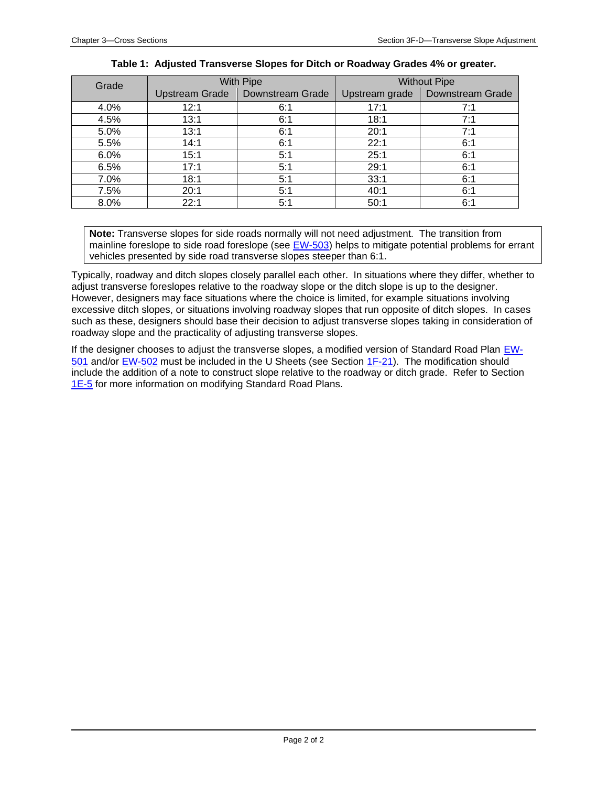| Grade | <b>With Pipe</b>      |                         | <b>Without Pipe</b> |                  |
|-------|-----------------------|-------------------------|---------------------|------------------|
|       | <b>Upstream Grade</b> | <b>Downstream Grade</b> | Upstream grade      | Downstream Grade |
| 4.0%  | 12:1                  | 6:1                     | 17:1                | 7:1              |
| 4.5%  | 13:1                  | 6:1                     | 18:1                | 7:1              |
| 5.0%  | 13:1                  | 6:1                     | 20:1                | 7:1              |
| 5.5%  | 14:1                  | 6:1                     | 22:1                | 6:1              |
| 6.0%  | 15:1                  | 5:1                     | 25:1                | 6:1              |
| 6.5%  | 17:1                  | 5:1                     | 29:1                | 6:1              |
| 7.0%  | 18:1                  | 5:1                     | 33:1                | 6:1              |
| 7.5%  | 20:1                  | 5:1                     | 40:1                | 6:1              |
| 8.0%  | 22:1                  | 5:1                     | 50:1                | 6:1              |

### **Table 1: Adjusted Transverse Slopes for Ditch or Roadway Grades 4% or greater.**

**Note:** Transverse slopes for side roads normally will not need adjustment. The transition from mainline foreslope to side road foreslope (see [EW-503\)](../SRP/IndividualStandards/ew503.pdf) helps to mitigate potential problems for errant vehicles presented by side road transverse slopes steeper than 6:1.

Typically, roadway and ditch slopes closely parallel each other. In situations where they differ, whether to adjust transverse foreslopes relative to the roadway slope or the ditch slope is up to the designer. However, designers may face situations where the choice is limited, for example situations involving excessive ditch slopes, or situations involving roadway slopes that run opposite of ditch slopes. In cases such as these, designers should base their decision to adjust transverse slopes taking in consideration of roadway slope and the practicality of adjusting transverse slopes.

If the designer chooses to adjust the transverse slopes, a modified version of Standard Road Plan [EW-](../SRP/IndividualStandards/ew501.pdf)[501](../SRP/IndividualStandards/ew501.pdf) and/or [EW-502](../SRP/IndividualStandards/ew502.pdf) must be included in the U Sheets (see Section [1F-21\)](01f-21.pdf). The modification should include the addition of a note to construct slope relative to the roadway or ditch grade. Refer to Section [1E-5](01e-05.pdf) for more information on modifying Standard Road Plans.